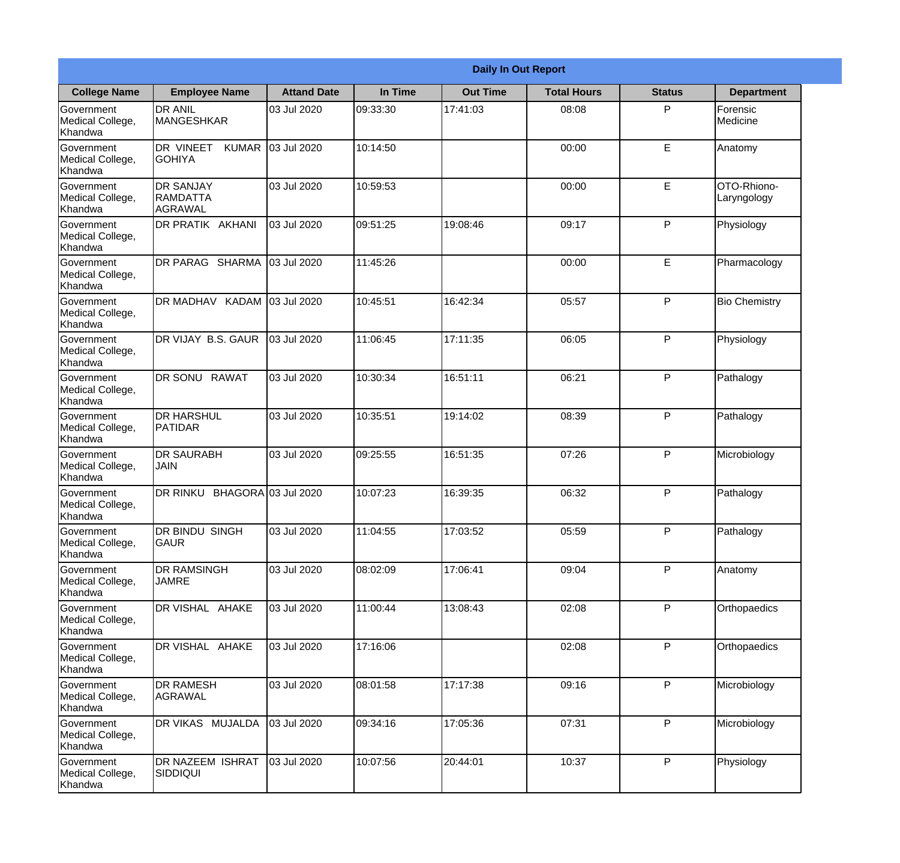|                                                  |                                                        |                     |          | <b>Daily In Out Report</b> |                    |               |                            |
|--------------------------------------------------|--------------------------------------------------------|---------------------|----------|----------------------------|--------------------|---------------|----------------------------|
| <b>College Name</b>                              | <b>Employee Name</b>                                   | <b>Attand Date</b>  | In Time  | <b>Out Time</b>            | <b>Total Hours</b> | <b>Status</b> | <b>Department</b>          |
| Government<br>Medical College,<br>Khandwa        | <b>DR ANIL</b><br><b>MANGESHKAR</b>                    | 03 Jul 2020         | 09:33:30 | 17:41:03                   | 08:08              | P             | Forensic<br>Medicine       |
| Government<br>Medical College,<br>Khandwa        | DR VINEET<br><b>KUMAR</b><br><b>GOHIYA</b>             | 03 Jul 2020         | 10:14:50 |                            | 00:00              | E             | Anatomy                    |
| <b>Government</b><br>Medical College,<br>Khandwa | <b>IDR SANJAY</b><br><b>RAMDATTA</b><br><b>AGRAWAL</b> | 03 Jul 2020         | 10:59:53 |                            | 00:00              | E             | OTO-Rhiono-<br>Laryngology |
| Government<br>Medical College,<br>Khandwa        | <b>DR PRATIK AKHANI</b>                                | 03 Jul 2020         | 09:51:25 | 19:08:46                   | 09:17              | P             | Physiology                 |
| Government<br>Medical College,<br>Khandwa        | DR PARAG SHARMA                                        | 03 Jul 2020         | 11:45:26 |                            | 00:00              | E             | Pharmacology               |
| Government<br>Medical College,<br>Khandwa        | DR MADHAV KADAM 03 Jul 2020                            |                     | 10:45:51 | 16:42:34                   | 05:57              | P             | <b>Bio Chemistry</b>       |
| Government<br>Medical College,<br>Khandwa        | DR VIJAY B.S. GAUR                                     | 03 Jul 2020         | 11:06:45 | 17:11:35                   | 06:05              | P             | Physiology                 |
| Government<br>Medical College,<br>Khandwa        | DR SONU RAWAT                                          | 03 Jul 2020         | 10:30:34 | 16:51:11                   | 06:21              | P             | Pathalogy                  |
| Government<br>Medical College,<br>Khandwa        | <b>DR HARSHUL</b><br>PATIDAR                           | 03 Jul 2020         | 10:35:51 | 19:14:02                   | 08:39              | P             | Pathalogy                  |
| Government<br>Medical College,<br>Khandwa        | <b>DR SAURABH</b><br><b>JAIN</b>                       | 03 Jul 2020         | 09:25:55 | 16:51:35                   | 07:26              | P             | Microbiology               |
| Government<br>Medical College,<br>Khandwa        | <b>DR RINKU</b>                                        | BHAGORA 03 Jul 2020 | 10:07:23 | 16:39:35                   | 06:32              | $\mathsf{P}$  | Pathalogy                  |
| Government<br>Medical College,<br>Khandwa        | DR BINDU SINGH<br><b>GAUR</b>                          | 03 Jul 2020         | 11:04:55 | 17:03:52                   | 05:59              | P             | Pathalogy                  |
| Government<br>Medical College,<br>Khandwa        | <b>DR RAMSINGH</b><br><b>JAMRE</b>                     | 03 Jul 2020         | 08:02:09 | 17:06:41                   | 09:04              | P             | Anatomy                    |
| Government<br>Medical College,<br>Khandwa        | DR VISHAL AHAKE                                        | 03 Jul 2020         | 11:00:44 | 13:08:43                   | 02:08              | P             | Orthopaedics               |
| Government<br>Medical College,<br>Khandwa        | DR VISHAL AHAKE                                        | 03 Jul 2020         | 17:16:06 |                            | 02:08              | P             | Orthopaedics               |
| Government<br>Medical College,<br>Khandwa        | <b>DR RAMESH</b><br>AGRAWAL                            | 03 Jul 2020         | 08:01:58 | 17:17:38                   | 09:16              | P             | Microbiology               |
| Government<br>Medical College,<br>Khandwa        | <b>DR VIKAS MUJALDA</b>                                | 03 Jul 2020         | 09:34:16 | 17:05:36                   | 07:31              | P             | Microbiology               |
| Government<br>Medical College,<br>Khandwa        | <b>DR NAZEEM ISHRAT</b><br>SIDDIQUI                    | 03 Jul 2020         | 10:07:56 | 20:44:01                   | 10:37              | P             | Physiology                 |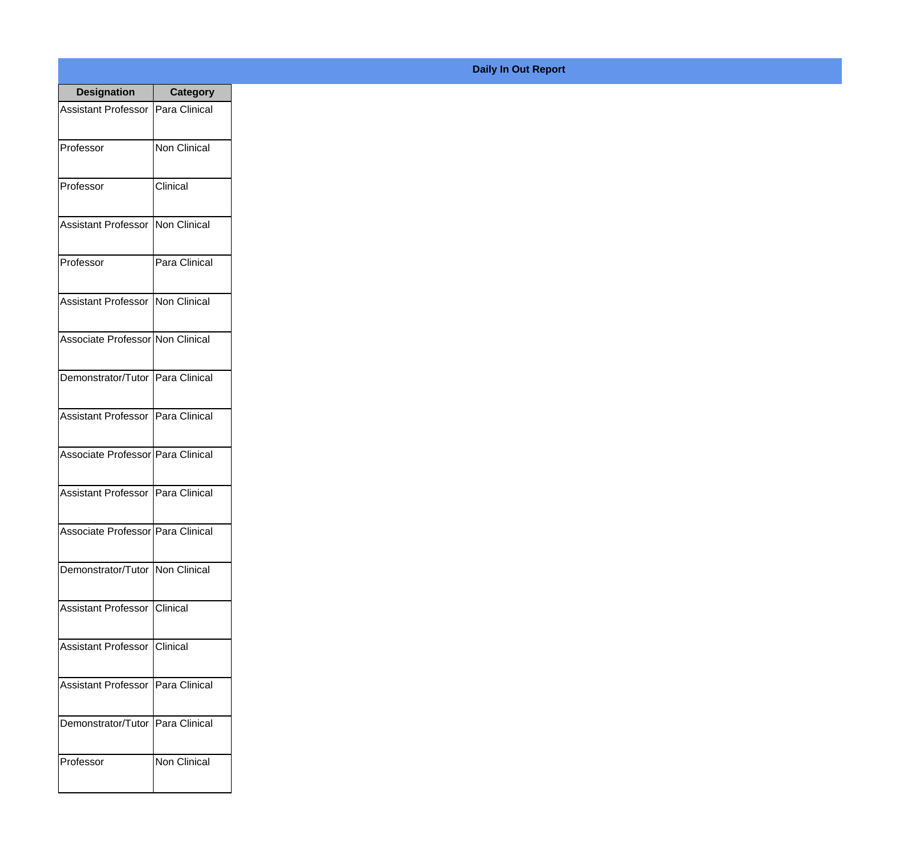| <b>Designation</b>                  | <b>Category</b>     |
|-------------------------------------|---------------------|
| <b>Assistant Professor</b>          | Para Clinical       |
| Professor                           | <b>Non Clinical</b> |
| Professor                           | Clinical            |
| Assistant Professor                 | Non Clinical        |
| Professor                           | Para Clinical       |
| <b>Assistant Professor</b>          | Non Clinical        |
| Associate Professor Non Clinical    |                     |
| Demonstrator/Tutor   Para Clinical  |                     |
| Assistant Professor   Para Clinical |                     |
| Associate Professor Para Clinical   |                     |
| Assistant Professor                 | Para Clinical       |
| Associate Professor Para Clinical   |                     |
| Demonstrator/Tutor   Non Clinical   |                     |
| <b>Assistant Professor</b>          | IClinical           |
| <b>Assistant Professor</b>          | Clinical            |
| <b>Assistant Professor</b>          | Para Clinical       |
| Demonstrator/Tutor                  | Para Clinical       |
| Professor                           | <b>Non Clinical</b> |

## **Daily In Out Report**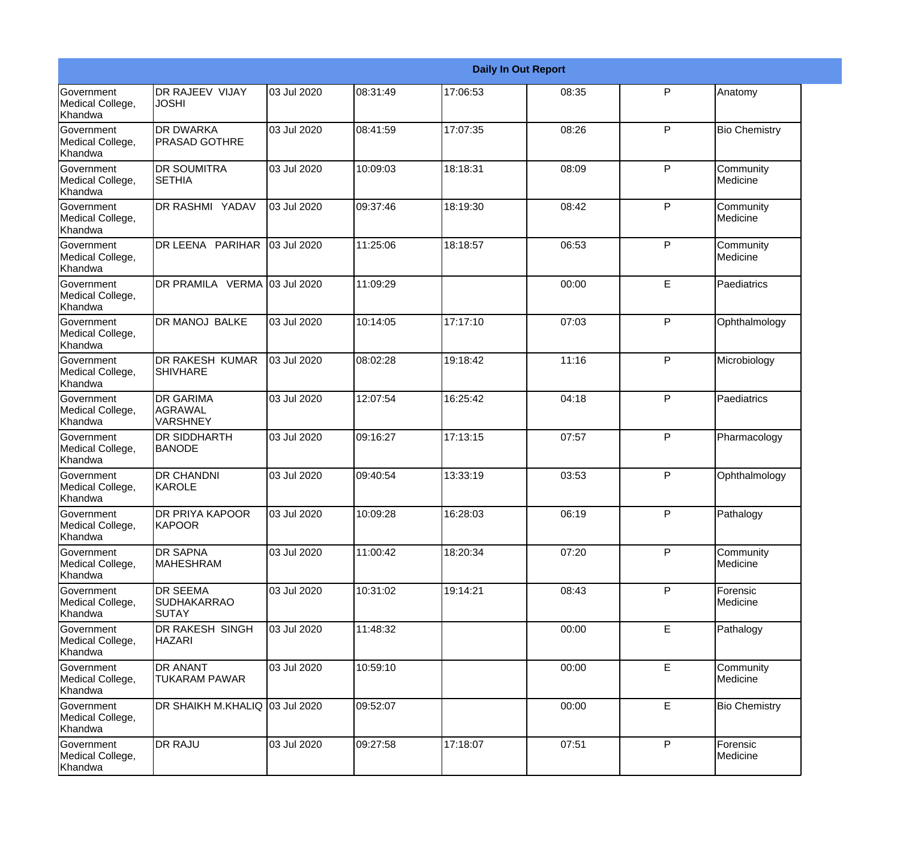|                                                  |                                                |             |          |          | <b>Daily In Out Report</b> |              |                       |
|--------------------------------------------------|------------------------------------------------|-------------|----------|----------|----------------------------|--------------|-----------------------|
| Government<br>Medical College,<br>Khandwa        | DR RAJEEV VIJAY<br><b>JOSHI</b>                | 03 Jul 2020 | 08:31:49 | 17:06:53 | 08:35                      | P            | Anatomy               |
| Government<br>Medical College,<br>Khandwa        | <b>DR DWARKA</b><br><b>PRASAD GOTHRE</b>       | 03 Jul 2020 | 08:41:59 | 17:07:35 | 08:26                      | $\mathsf{P}$ | <b>Bio Chemistry</b>  |
| Government<br>Medical College,<br>Khandwa        | <b>DR SOUMITRA</b><br><b>SETHIA</b>            | 03 Jul 2020 | 10:09:03 | 18:18:31 | 08:09                      | $\mathsf{P}$ | Community<br>Medicine |
| Government<br>Medical College,<br>Khandwa        | DR RASHMI YADAV                                | 03 Jul 2020 | 09:37:46 | 18:19:30 | 08:42                      | $\mathsf{P}$ | Community<br>Medicine |
| <b>Government</b><br>Medical College,<br>Khandwa | DR LEENA PARIHAR                               | 03 Jul 2020 | 11:25:06 | 18:18:57 | 06:53                      | P            | Community<br>Medicine |
| Government<br>Medical College,<br>Khandwa        | DR PRAMILA VERMA                               | 03 Jul 2020 | 11:09:29 |          | 00:00                      | E            | Paediatrics           |
| Government<br>Medical College,<br>Khandwa        | <b>DR MANOJ BALKE</b>                          | 03 Jul 2020 | 10:14:05 | 17:17:10 | 07:03                      | $\mathsf{P}$ | Ophthalmology         |
| Government<br>Medical College,<br>Khandwa        | DR RAKESH KUMAR<br><b>SHIVHARE</b>             | 03 Jul 2020 | 08:02:28 | 19:18:42 | 11:16                      | $\mathsf{P}$ | Microbiology          |
| Government<br>Medical College,<br>Khandwa        | <b>DR GARIMA</b><br>AGRAWAL<br><b>VARSHNEY</b> | 03 Jul 2020 | 12:07:54 | 16:25:42 | 04:18                      | $\mathsf{P}$ | Paediatrics           |
| Government<br>Medical College,<br>Khandwa        | DR SIDDHARTH<br><b>BANODE</b>                  | 03 Jul 2020 | 09:16:27 | 17:13:15 | 07:57                      | $\mathsf{P}$ | Pharmacology          |
| <b>Government</b><br>Medical College,<br>Khandwa | <b>DR CHANDNI</b><br>KAROLE                    | 03 Jul 2020 | 09:40:54 | 13:33:19 | 03:53                      | $\mathsf{P}$ | Ophthalmology         |
| Government<br>Medical College,<br>Khandwa        | <b>DR PRIYA KAPOOR</b><br>KAPOOR               | 03 Jul 2020 | 10:09:28 | 16:28:03 | 06:19                      | $\mathsf{P}$ | Pathalogy             |
| Government<br>Medical College,<br>Khandwa        | <b>DR SAPNA</b><br><b>MAHESHRAM</b>            | 03 Jul 2020 | 11:00:42 | 18:20:34 | 07:20                      | P            | Community<br>Medicine |
| Government<br>Medical College,<br>Khandwa        | DR SEEMA<br><b>SUDHAKARRAO</b><br><b>SUTAY</b> | 03 Jul 2020 | 10:31:02 | 19:14:21 | 08:43                      | P            | Forensic<br>Medicine  |
| Government<br>Medical College,<br>Khandwa        | <b>DR RAKESH SINGH</b><br><b>HAZARI</b>        | 03 Jul 2020 | 11:48:32 |          | 00:00                      | E            | Pathalogy             |
| Government<br>Medical College,<br>Khandwa        | DR ANANT<br><b>TUKARAM PAWAR</b>               | 03 Jul 2020 | 10:59:10 |          | 00:00                      | E            | Community<br>Medicine |
| Government<br>Medical College,<br>Khandwa        | DR SHAIKH M.KHALIQ 03 Jul 2020                 |             | 09:52:07 |          | 00:00                      | E            | <b>Bio Chemistry</b>  |
| Government<br>Medical College,<br>Khandwa        | <b>DR RAJU</b>                                 | 03 Jul 2020 | 09:27:58 | 17:18:07 | 07:51                      | P            | Forensic<br>Medicine  |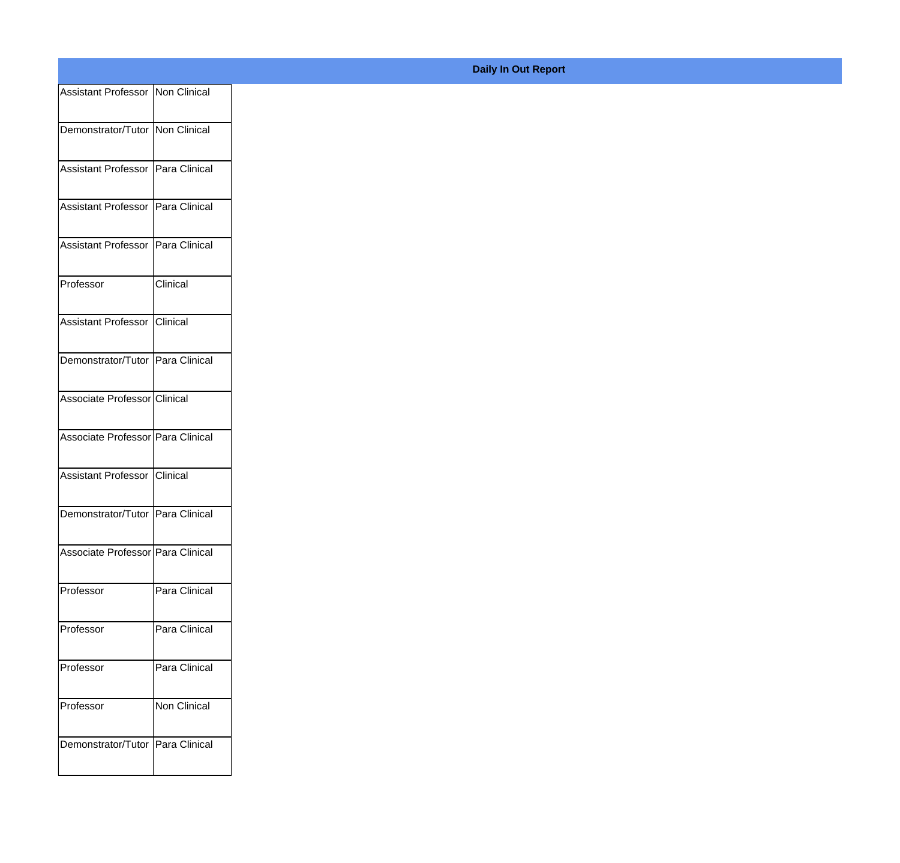| Assistant Professor Non Clinical  |                 |
|-----------------------------------|-----------------|
| Demonstrator/Tutor Non Clinical   |                 |
| Assistant Professor Para Clinical |                 |
|                                   |                 |
| Assistant Professor Para Clinical |                 |
| Assistant Professor Para Clinical |                 |
| Professor                         | <b>Clinical</b> |
| Assistant Professor Clinical      |                 |
|                                   |                 |
| Demonstrator/Tutor Para Clinical  |                 |
| Associate Professor Clinical      |                 |
| Associate Professor Para Clinical |                 |
| Assistant Professor Clinical      |                 |
| Demonstrator/Tutor Para Clinical  |                 |
| Associate Professor Para Clinical |                 |
|                                   |                 |
| Professor                         | Para Clinical   |
| Professor                         | Para Clinical   |
| Professor                         | Para Clinical   |
| Professor                         | Non Clinical    |
| Demonstrator/Tutor Para Clinical  |                 |
|                                   |                 |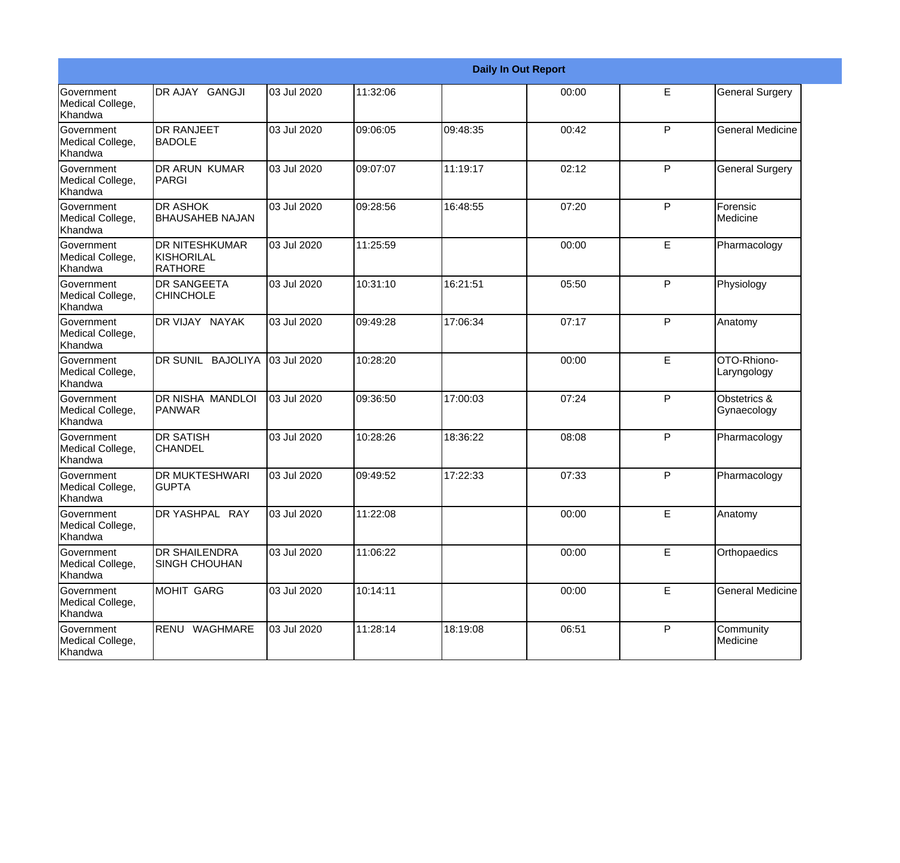|                                                  |                                                       |             |          |          | <b>Daily In Out Report</b> |   |                             |
|--------------------------------------------------|-------------------------------------------------------|-------------|----------|----------|----------------------------|---|-----------------------------|
| Government<br>Medical College,<br>Khandwa        | DR AJAY GANGJI                                        | 03 Jul 2020 | 11:32:06 |          | 00:00                      | E | <b>General Surgery</b>      |
| Government<br>Medical College,<br>Khandwa        | <b>DR RANJEET</b><br><b>BADOLE</b>                    | 03 Jul 2020 | 09:06:05 | 09:48:35 | 00:42                      | P | <b>General Medicine</b>     |
| <b>Government</b><br>Medical College,<br>Khandwa | <b>DR ARUN KUMAR</b><br>IPARGI                        | 03 Jul 2020 | 09:07:07 | 11:19:17 | 02:12                      | P | <b>General Surgery</b>      |
| Government<br>Medical College,<br>Khandwa        | <b>DR ASHOK</b><br><b>BHAUSAHEB NAJAN</b>             | 03 Jul 2020 | 09:28:56 | 16:48:55 | 07:20                      | P | Forensic<br>Medicine        |
| Government<br>Medical College,<br>Khandwa        | <b>DR NITESHKUMAR</b><br>KISHORILAL<br><b>RATHORE</b> | 03 Jul 2020 | 11:25:59 |          | 00:00                      | E | Pharmacology                |
| Government<br>Medical College,<br>Khandwa        | <b>DR SANGEETA</b><br><b>CHINCHOLE</b>                | 03 Jul 2020 | 10:31:10 | 16:21:51 | 05:50                      | P | Physiology                  |
| <b>Government</b><br>Medical College,<br>Khandwa | DR VIJAY NAYAK                                        | 03 Jul 2020 | 09:49:28 | 17:06:34 | 07:17                      | P | Anatomy                     |
| Government<br>Medical College,<br>Khandwa        | DR SUNIL BAJOLIYA                                     | 03 Jul 2020 | 10:28:20 |          | 00:00                      | E | OTO-Rhiono-<br>Laryngology  |
| Government<br>Medical College,<br>Khandwa        | <b>DR NISHA MANDLOI</b><br>PANWAR                     | 03 Jul 2020 | 09:36:50 | 17:00:03 | 07:24                      | P | Obstetrics &<br>Gynaecology |
| Government<br>Medical College,<br>Khandwa        | <b>DR SATISH</b><br><b>CHANDEL</b>                    | 03 Jul 2020 | 10:28:26 | 18:36:22 | 08:08                      | P | Pharmacology                |
| <b>Government</b><br>Medical College,<br>Khandwa | <b>DR MUKTESHWARI</b><br><b>GUPTA</b>                 | 03 Jul 2020 | 09:49:52 | 17:22:33 | 07:33                      | P | Pharmacology                |
| Government<br>Medical College,<br>Khandwa        | DR YASHPAL RAY                                        | 03 Jul 2020 | 11:22:08 |          | 00:00                      | E | Anatomy                     |
| Government<br>Medical College,<br>Khandwa        | <b>DR SHAILENDRA</b><br><b>SINGH CHOUHAN</b>          | 03 Jul 2020 | 11:06:22 |          | 00:00                      | E | Orthopaedics                |
| Government<br>Medical College,<br>Khandwa        | MOHIT GARG                                            | 03 Jul 2020 | 10:14:11 |          | 00:00                      | E | <b>General Medicine</b>     |
| Government<br>Medical College,<br>Khandwa        | RENU WAGHMARE                                         | 03 Jul 2020 | 11:28:14 | 18:19:08 | 06:51                      | P | Community<br>Medicine       |